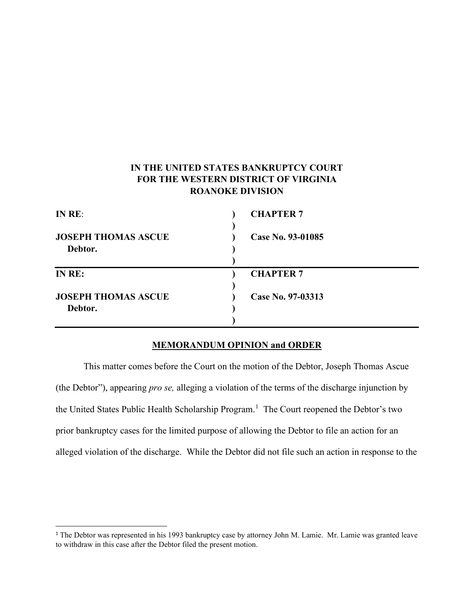# **IN THE UNITED STATES BANKRUPTCY COURT FOR THE WESTERN DISTRICT OF VIRGINIA ROANOKE DIVISION**

| IN RE:                                | <b>CHAPTER 7</b>  |
|---------------------------------------|-------------------|
| <b>JOSEPH THOMAS ASCUE</b><br>Debtor. | Case No. 93-01085 |
| IN RE:                                | <b>CHAPTER 7</b>  |
| <b>JOSEPH THOMAS ASCUE</b>            | Case No. 97-03313 |
| Debtor.                               |                   |
|                                       |                   |

### **MEMORANDUM OPINION and ORDER**

This matter comes before the Court on the motion of the Debtor, Joseph Thomas Ascue (the Debtor"), appearing *pro se,* alleging a violation of the terms of the discharge injunction by the United States Public Health Scholarship Program.<sup>[1](#page-0-0)</sup> The Court reopened the Debtor's two prior bankruptcy cases for the limited purpose of allowing the Debtor to file an action for an alleged violation of the discharge. While the Debtor did not file such an action in response to the

<span id="page-0-0"></span><sup>&</sup>lt;sup>1</sup> The Debtor was represented in his 1993 bankruptcy case by attorney John M. Lamie. Mr. Lamie was granted leave to withdraw in this case after the Debtor filed the present motion.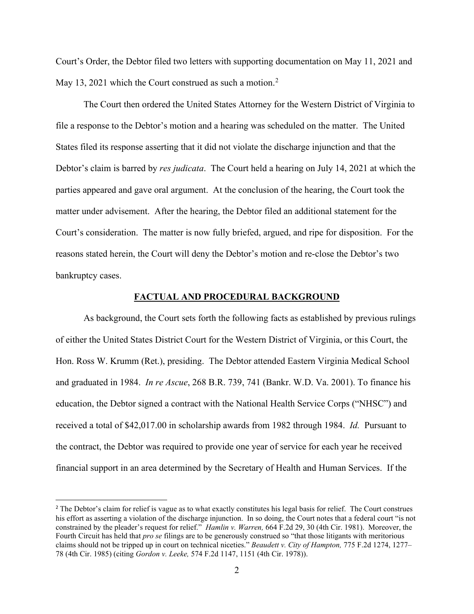Court's Order, the Debtor filed two letters with supporting documentation on May 11, 2021 and May 13, [2](#page-1-0)021 which the Court construed as such a motion.<sup>2</sup>

The Court then ordered the United States Attorney for the Western District of Virginia to file a response to the Debtor's motion and a hearing was scheduled on the matter. The United States filed its response asserting that it did not violate the discharge injunction and that the Debtor's claim is barred by *res judicata*. The Court held a hearing on July 14, 2021 at which the parties appeared and gave oral argument. At the conclusion of the hearing, the Court took the matter under advisement. After the hearing, the Debtor filed an additional statement for the Court's consideration. The matter is now fully briefed, argued, and ripe for disposition. For the reasons stated herein, the Court will deny the Debtor's motion and re-close the Debtor's two bankruptcy cases.

### **FACTUAL AND PROCEDURAL BACKGROUND**

As background, the Court sets forth the following facts as established by previous rulings of either the United States District Court for the Western District of Virginia, or this Court, the Hon. Ross W. Krumm (Ret.), presiding. The Debtor attended Eastern Virginia Medical School and graduated in 1984. *In re Ascue*, 268 B.R. 739, 741 (Bankr. W.D. Va. 2001). To finance his education, the Debtor signed a contract with the National Health Service Corps ("NHSC") and received a total of \$42,017.00 in scholarship awards from 1982 through 1984. *Id.* Pursuant to the contract, the Debtor was required to provide one year of service for each year he received financial support in an area determined by the Secretary of Health and Human Services. If the

<span id="page-1-0"></span><sup>&</sup>lt;sup>2</sup> The Debtor's claim for relief is vague as to what exactly constitutes his legal basis for relief. The Court construes his effort as asserting a violation of the discharge injunction. In so doing, the Court notes that a federal court "is not constrained by the pleader's request for relief." *Hamlin v. Warren,* [664 F.2d 29, 30 \(4th Cir. 1981\).](https://1.next.westlaw.com/Link/Document/FullText?findType=Y&serNum=1981146779&pubNum=0000350&originatingDoc=I099c4730c0c311e4abb5d3b0022e2e07&refType=RP&fi=co_pp_sp_350_30&originationContext=document&transitionType=DocumentItem&contextData=(sc.Search)#co_pp_sp_350_30) Moreover, the Fourth Circuit has held that *pro se* filings are to be generously construed so "that those litigants with meritorious claims should not be tripped up in court on technical niceties." *[Beaudett v. City of Hampton,](https://1.next.westlaw.com/Link/Document/FullText?findType=Y&serNum=1985153826&pubNum=0000350&originatingDoc=I099c4730c0c311e4abb5d3b0022e2e07&refType=RP&fi=co_pp_sp_350_1277&originationContext=document&transitionType=DocumentItem&contextData=(sc.Search)#co_pp_sp_350_1277)* 775 F.2d 1274, 1277– [78 \(4th Cir. 1985\)](https://1.next.westlaw.com/Link/Document/FullText?findType=Y&serNum=1985153826&pubNum=0000350&originatingDoc=I099c4730c0c311e4abb5d3b0022e2e07&refType=RP&fi=co_pp_sp_350_1277&originationContext=document&transitionType=DocumentItem&contextData=(sc.Search)#co_pp_sp_350_1277) (citing *Gordon v. Leeke,* [574 F.2d 1147, 1151 \(4th Cir. 1978\)\)](https://1.next.westlaw.com/Link/Document/FullText?findType=Y&serNum=1978103530&pubNum=0000350&originatingDoc=I099c4730c0c311e4abb5d3b0022e2e07&refType=RP&fi=co_pp_sp_350_1151&originationContext=document&transitionType=DocumentItem&contextData=(sc.Search)#co_pp_sp_350_1151).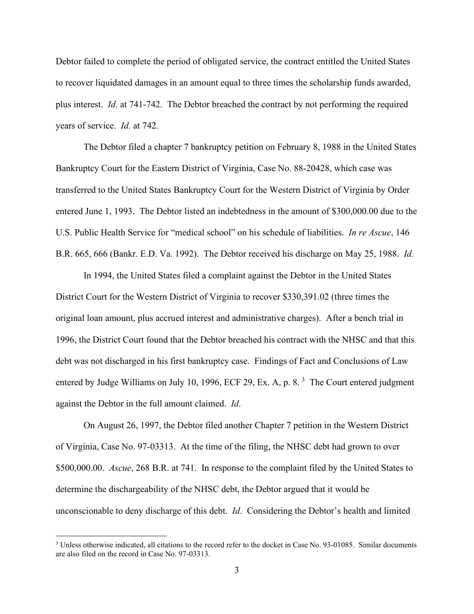Debtor failed to complete the period of obligated service, the contract entitled the United States to recover liquidated damages in an amount equal to three times the scholarship funds awarded, plus interest. *Id*. at 741-742. The Debtor breached the contract by not performing the required years of service. *Id.* at 742.

The Debtor filed a chapter 7 bankruptcy petition on February 8, 1988 in the United States Bankruptcy Court for the Eastern District of Virginia, Case No. 88-20428, which case was transferred to the United States Bankruptcy Court for the Western District of Virginia by Order entered June 1, 1993. The Debtor listed an indebtedness in the amount of \$300,000.00 due to the U.S. Public Health Service for "medical school" on his schedule of liabilities. *In re Ascue*, 146 B.R. 665, 666 (Bankr. E.D. Va. 1992). The Debtor received his discharge on May 25, 1988. *Id.*

In 1994, the United States filed a complaint against the Debtor in the United States District Court for the Western District of Virginia to recover \$330,391.02 (three times the original loan amount, plus accrued interest and administrative charges). After a bench trial in 1996, the District Court found that the Debtor breached his contract with the NHSC and that this debt was not discharged in his first bankruptcy case. Findings of Fact and Conclusions of Law entered by Judge Williams on July 10, 1996, ECF 29, Ex. A, p. 8.<sup>[3](#page-2-0)</sup> The Court entered judgment against the Debtor in the full amount claimed. *Id*.

On August 26, 1997, the Debtor filed another Chapter 7 petition in the Western District of Virginia, Case No. 97-03313. At the time of the filing, the NHSC debt had grown to over \$500,000.00. *Ascue*, 268 B.R. at 741. In response to the complaint filed by the United States to determine the dischargeability of the NHSC debt, the Debtor argued that it would be unconscionable to deny discharge of this debt. *Id*. Considering the Debtor's health and limited

<span id="page-2-0"></span><sup>&</sup>lt;sup>3</sup> Unless otherwise indicated, all citations to the record refer to the docket in Case No. 93-01085. Similar documents are also filed on the record in Case No. 97-03313.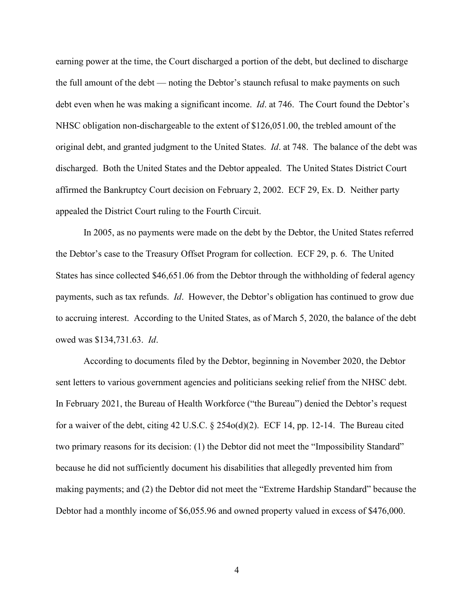earning power at the time, the Court discharged a portion of the debt, but declined to discharge the full amount of the debt — noting the Debtor's staunch refusal to make payments on such debt even when he was making a significant income. *Id*. at 746. The Court found the Debtor's NHSC obligation non-dischargeable to the extent of \$126,051.00, the trebled amount of the original debt, and granted judgment to the United States. *Id*. at 748. The balance of the debt was discharged. Both the United States and the Debtor appealed. The United States District Court affirmed the Bankruptcy Court decision on February 2, 2002. ECF 29, Ex. D. Neither party appealed the District Court ruling to the Fourth Circuit.

In 2005, as no payments were made on the debt by the Debtor, the United States referred the Debtor's case to the Treasury Offset Program for collection. ECF 29, p. 6. The United States has since collected \$46,651.06 from the Debtor through the withholding of federal agency payments, such as tax refunds. *Id*. However, the Debtor's obligation has continued to grow due to accruing interest. According to the United States, as of March 5, 2020, the balance of the debt owed was \$134,731.63. *Id*.

According to documents filed by the Debtor, beginning in November 2020, the Debtor sent letters to various government agencies and politicians seeking relief from the NHSC debt. In February 2021, the Bureau of Health Workforce ("the Bureau") denied the Debtor's request for a waiver of the debt, citing 42 U.S.C. § 254o(d)(2). ECF 14, pp. 12-14. The Bureau cited two primary reasons for its decision: (1) the Debtor did not meet the "Impossibility Standard" because he did not sufficiently document his disabilities that allegedly prevented him from making payments; and (2) the Debtor did not meet the "Extreme Hardship Standard" because the Debtor had a monthly income of \$6,055.96 and owned property valued in excess of \$476,000.

4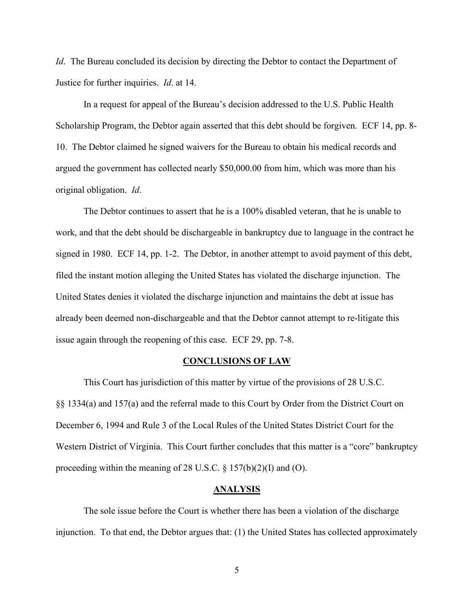*Id.* The Bureau concluded its decision by directing the Debtor to contact the Department of Justice for further inquiries. *Id*. at 14.

In a request for appeal of the Bureau's decision addressed to the U.S. Public Health Scholarship Program, the Debtor again asserted that this debt should be forgiven. ECF 14, pp. 8- 10. The Debtor claimed he signed waivers for the Bureau to obtain his medical records and argued the government has collected nearly \$50,000.00 from him, which was more than his original obligation. *Id*.

The Debtor continues to assert that he is a 100% disabled veteran, that he is unable to work, and that the debt should be dischargeable in bankruptcy due to language in the contract he signed in 1980. ECF 14, pp. 1-2. The Debtor, in another attempt to avoid payment of this debt, filed the instant motion alleging the United States has violated the discharge injunction. The United States denies it violated the discharge injunction and maintains the debt at issue has already been deemed non-dischargeable and that the Debtor cannot attempt to re-litigate this issue again through the reopening of this case. ECF 29, pp. 7-8.

#### **CONCLUSIONS OF LAW**

This Court has jurisdiction of this matter by virtue of the provisions of 28 U.S.C. §§ 1334(a) and 157(a) and the referral made to this Court by Order from the District Court on December 6, 1994 and Rule 3 of the Local Rules of the United States District Court for the Western District of Virginia. This Court further concludes that this matter is a "core" bankruptcy proceeding within the meaning of 28 U.S.C.  $\S 157(b)(2)(I)$  and (O).

#### **ANALYSIS**

The sole issue before the Court is whether there has been a violation of the discharge injunction. To that end, the Debtor argues that: (1) the United States has collected approximately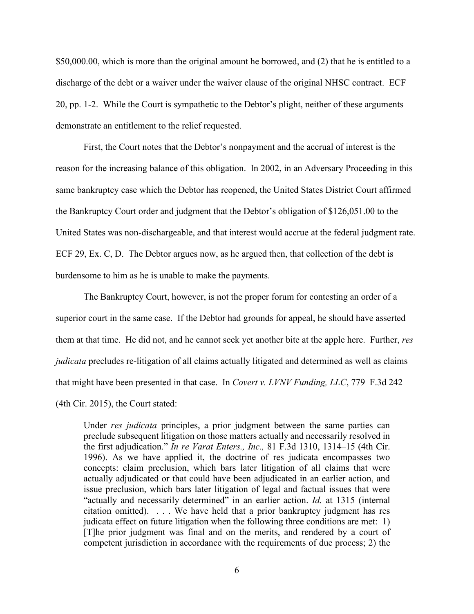\$50,000.00, which is more than the original amount he borrowed, and (2) that he is entitled to a discharge of the debt or a waiver under the waiver clause of the original NHSC contract. ECF 20, pp. 1-2. While the Court is sympathetic to the Debtor's plight, neither of these arguments demonstrate an entitlement to the relief requested.

First, the Court notes that the Debtor's nonpayment and the accrual of interest is the reason for the increasing balance of this obligation. In 2002, in an Adversary Proceeding in this same bankruptcy case which the Debtor has reopened, the United States District Court affirmed the Bankruptcy Court order and judgment that the Debtor's obligation of \$126,051.00 to the United States was non-dischargeable, and that interest would accrue at the federal judgment rate. ECF 29, Ex. C, D. The Debtor argues now, as he argued then, that collection of the debt is burdensome to him as he is unable to make the payments.

The Bankruptcy Court, however, is not the proper forum for contesting an order of a superior court in the same case. If the Debtor had grounds for appeal, he should have asserted them at that time. He did not, and he cannot seek yet another bite at the apple here. Further, *res judicata* precludes re-litigation of all claims actually litigated and determined as well as claims that might have been presented in that case. In *Covert v. LVNV Funding, LLC*, 779 F.3d 242 (4th Cir. 2015), the Court stated:

Under *res judicata* principles, a prior judgment between the same parties can preclude subsequent litigation on those matters actually and necessarily resolved in the first adjudication." *In re Varat Enters., Inc.,* [81 F.3d 1310, 1314–15 \(4th Cir.](https://1.next.westlaw.com/Link/Document/FullText?findType=Y&serNum=1996099745&pubNum=0000506&originatingDoc=I0c776da5c1fc11e4a795ac035416da91&refType=RP&fi=co_pp_sp_506_1314&originationContext=document&transitionType=DocumentItem&ppcid=7ebf78159b064141881dd538ffeaabb2&contextData=(sc.UserEnteredCitation)#co_pp_sp_506_1314) [1996\).](https://1.next.westlaw.com/Link/Document/FullText?findType=Y&serNum=1996099745&pubNum=0000506&originatingDoc=I0c776da5c1fc11e4a795ac035416da91&refType=RP&fi=co_pp_sp_506_1314&originationContext=document&transitionType=DocumentItem&ppcid=7ebf78159b064141881dd538ffeaabb2&contextData=(sc.UserEnteredCitation)#co_pp_sp_506_1314) As we have applied it, the doctrine of res judicata encompasses two concepts: claim preclusion, which bars later litigation of all claims that were actually adjudicated or that could have been adjudicated in an earlier action, and issue preclusion, which bars later litigation of legal and factual issues that were "actually and necessarily determined" in an earlier action. *Id.* [at 1315](https://1.next.westlaw.com/Link/Document/FullText?findType=Y&serNum=1996099745&pubNum=0000506&originatingDoc=I0c776da5c1fc11e4a795ac035416da91&refType=RP&fi=co_pp_sp_506_1315&originationContext=document&transitionType=DocumentItem&ppcid=7ebf78159b064141881dd538ffeaabb2&contextData=(sc.UserEnteredCitation)#co_pp_sp_506_1315) (internal citation omitted). . . . We have held that a prior bankruptcy judgment has res judicata effect on future litigation when the following three conditions are met: 1) [T]he prior judgment was final and on the merits, and rendered by a court of competent jurisdiction in accordance with the requirements of due process; 2) the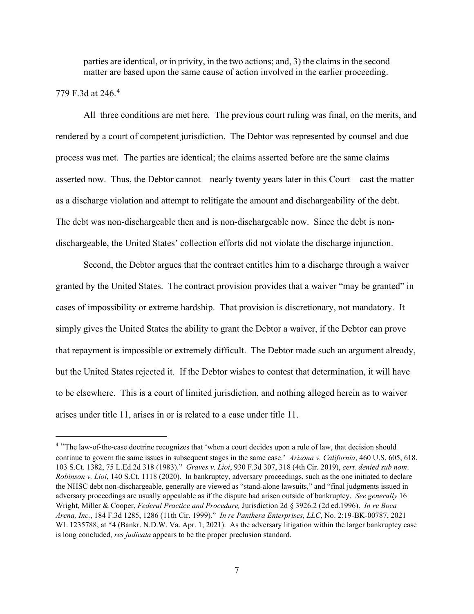parties are identical, or in privity, in the two actions; and, 3) the claims in the second matter are based upon the same cause of action involved in the earlier proceeding.

### 779 F.3d at 246.[4](#page-6-0)

All three conditions are met here. The previous court ruling was final, on the merits, and rendered by a court of competent jurisdiction. The Debtor was represented by counsel and due process was met. The parties are identical; the claims asserted before are the same claims asserted now. Thus, the Debtor cannot—nearly twenty years later in this Court—cast the matter as a discharge violation and attempt to relitigate the amount and dischargeability of the debt. The debt was non-dischargeable then and is non-dischargeable now. Since the debt is nondischargeable, the United States' collection efforts did not violate the discharge injunction.

Second, the Debtor argues that the contract entitles him to a discharge through a waiver granted by the United States. The contract provision provides that a waiver "may be granted" in cases of impossibility or extreme hardship. That provision is discretionary, not mandatory. It simply gives the United States the ability to grant the Debtor a waiver, if the Debtor can prove that repayment is impossible or extremely difficult. The Debtor made such an argument already, but the United States rejected it. If the Debtor wishes to contest that determination, it will have to be elsewhere. This is a court of limited jurisdiction, and nothing alleged herein as to waiver arises under title 11, arises in or is related to a case under title 11.

<span id="page-6-0"></span><sup>&</sup>lt;sup>4</sup> "The law-of-the-case doctrine recognizes that 'when a court decides upon a rule of law, that decision should continue to govern the same issues in subsequent stages in the same case.' *Arizona v. California*, 460 U.S. 605, 618, 103 S.Ct. 1382, 75 L.Ed.2d 318 (1983)." *Graves v. Lioi*, 930 F.3d 307, 318 (4th Cir. 2019), *cert. denied sub nom*. *Robinson v. Lioi*, 140 S.Ct. 1118 (2020). In bankruptcy, adversary proceedings, such as the one initiated to declare the NHSC debt non-dischargeable, generally are viewed as "stand-alone lawsuits," and "final judgments issued in adversary proceedings are usually appealable as if the dispute had arisen outside of bankruptcy. *See generally* 16 Wright, Miller & Cooper, *Federal Practice and Procedure,* Jurisdiction 2d § 3926.2 (2d ed.1996). *In re Boca Arena, Inc.*, 184 F.3d 1285, 1286 (11th Cir. 1999)." *In re Panthera Enterprises, LLC*, No. 2:19-BK-00787, 2021 WL 1235788, at \*4 (Bankr. N.D.W. Va. Apr. 1, 2021). As the adversary litigation within the larger bankruptcy case is long concluded, *res judicata* appears to be the proper preclusion standard.